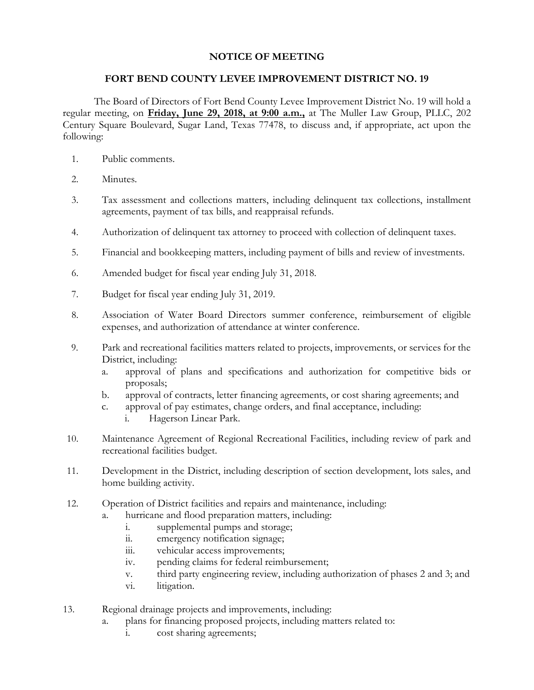## **NOTICE OF MEETING**

## **FORT BEND COUNTY LEVEE IMPROVEMENT DISTRICT NO. 19**

The Board of Directors of Fort Bend County Levee Improvement District No. 19 will hold a regular meeting, on **Friday, June 29, 2018, at 9:00 a.m.,** at The Muller Law Group, PLLC, 202 Century Square Boulevard, Sugar Land, Texas 77478, to discuss and, if appropriate, act upon the following:

- 1. Public comments.
- 2. Minutes.
- 3. Tax assessment and collections matters, including delinquent tax collections, installment agreements, payment of tax bills, and reappraisal refunds.
- 4. Authorization of delinquent tax attorney to proceed with collection of delinquent taxes.
- 5. Financial and bookkeeping matters, including payment of bills and review of investments.
- 6. Amended budget for fiscal year ending July 31, 2018.
- 7. Budget for fiscal year ending July 31, 2019.
- 8. Association of Water Board Directors summer conference, reimbursement of eligible expenses, and authorization of attendance at winter conference.
- 9. Park and recreational facilities matters related to projects, improvements, or services for the District, including:
	- a. approval of plans and specifications and authorization for competitive bids or proposals;
	- b. approval of contracts, letter financing agreements, or cost sharing agreements; and
	- c. approval of pay estimates, change orders, and final acceptance, including:
		- i. Hagerson Linear Park.
- 10. Maintenance Agreement of Regional Recreational Facilities, including review of park and recreational facilities budget.
- 11. Development in the District, including description of section development, lots sales, and home building activity.
- 12. Operation of District facilities and repairs and maintenance, including:
	- a. hurricane and flood preparation matters, including:
		- i. supplemental pumps and storage;
		- ii. emergency notification signage;
		- iii. vehicular access improvements;
		- iv. pending claims for federal reimbursement;
		- v. third party engineering review, including authorization of phases 2 and 3; and
		- vi. litigation.
- 13. Regional drainage projects and improvements, including:
	- a. plans for financing proposed projects, including matters related to:
		- i. cost sharing agreements;